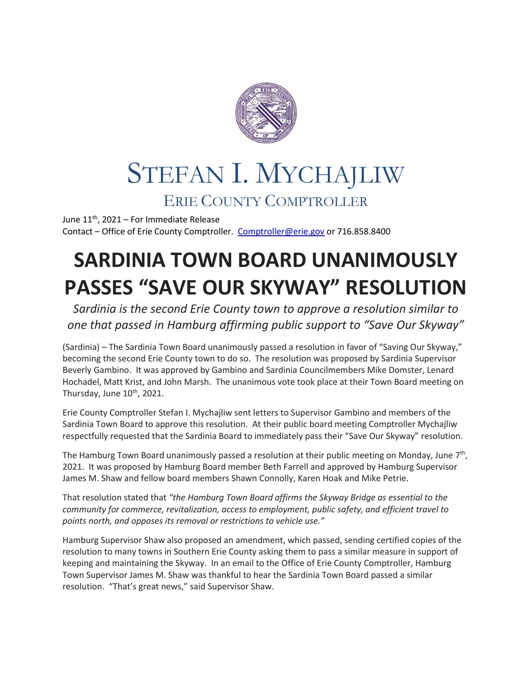

## STEFAN I. MYCHAJLIW ERIE COUNTY COMPTROLLER

June  $11^{th}$ , 2021 – For Immediate Release Contact – Office of Erie County Comptroller. [Comptroller@erie.gov](mailto:Comptroller@erie.gov) or 716.858.8400

## **SARDINIA TOWN BOARD UNANIMOUSLY PASSES "SAVE OUR SKYWAY" RESOLUTION**

*Sardinia is the second Erie County town to approve a resolution similar to one that passed in Hamburg affirming public support to "Save Our Skyway"*

(Sardinia) – The Sardinia Town Board unanimously passed a resolution in favor of "Saving Our Skyway," becoming the second Erie County town to do so. The resolution was proposed by Sardinia Supervisor Beverly Gambino. It was approved by Gambino and Sardinia Councilmembers Mike Domster, Lenard Hochadel, Matt Krist, and John Marsh. The unanimous vote took place at their Town Board meeting on Thursday, June  $10^{th}$ , 2021.

Erie County Comptroller Stefan I. Mychajliw sent letters to Supervisor Gambino and members of the Sardinia Town Board to approve this resolution. At their public board meeting Comptroller Mychajliw respectfully requested that the Sardinia Board to immediately pass their "Save Our Skyway" resolution.

The Hamburg Town Board unanimously passed a resolution at their public meeting on Monday, June  $7<sup>th</sup>$ , 2021. It was proposed by Hamburg Board member Beth Farrell and approved by Hamburg Supervisor James M. Shaw and fellow board members Shawn Connolly, Karen Hoak and Mike Petrie.

That resolution stated that *"the Hamburg Town Board affirms the Skyway Bridge as essential to the community for commerce, revitalization, access to employment, public safety, and efficient travel to points north, and opposes its removal or restrictions to vehicle use."* 

Hamburg Supervisor Shaw also proposed an amendment, which passed, sending certified copies of the resolution to many towns in Southern Erie County asking them to pass a similar measure in support of keeping and maintaining the Skyway. In an email to the Office of Erie County Comptroller, Hamburg Town Supervisor James M. Shaw was thankful to hear the Sardinia Town Board passed a similar resolution. "That's great news," said Supervisor Shaw.